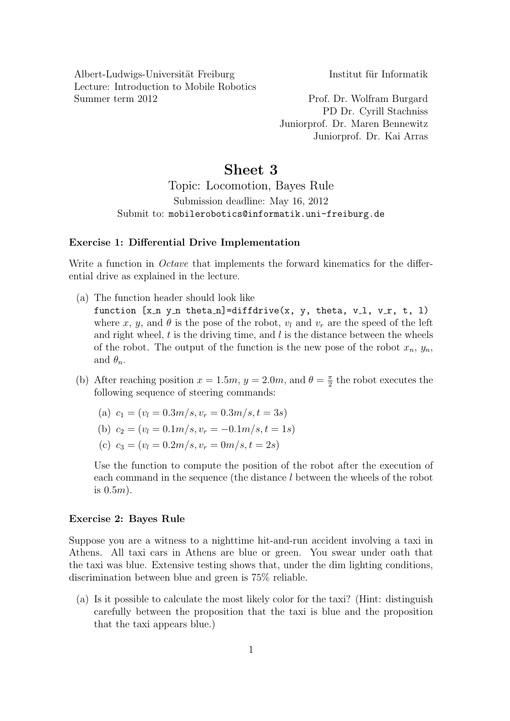Albert-Ludwigs-Universität Freiburg Institut für Informatik Lecture: Introduction to Mobile Robotics Summer term 2012 Prof. Dr. Wolfram Burgard

PD Dr. Cyrill Stachniss Juniorprof. Dr. Maren Bennewitz Juniorprof. Dr. Kai Arras

## Sheet 3

Topic: Locomotion, Bayes Rule Submission deadline: May 16, 2012 Submit to: mobilerobotics@informatik.uni-freiburg.de

## Exercise 1: Differential Drive Implementation

Write a function in *Octave* that implements the forward kinematics for the differential drive as explained in the lecture.

- (a) The function header should look like function  $[x \nvert n y \nvert n$  theta n]=diffdrive(x, y, theta, v<sub>-1</sub>, v<sub>-r</sub>, t, 1) where x, y, and  $\theta$  is the pose of the robot,  $v_l$  and  $v_r$  are the speed of the left and right wheel,  $t$  is the driving time, and  $l$  is the distance between the wheels of the robot. The output of the function is the new pose of the robot  $x_n, y_n$ , and  $\theta_n$ .
- (b) After reaching position  $x = 1.5m$ ,  $y = 2.0m$ , and  $\theta = \frac{\pi}{2}$  $\frac{\pi}{2}$  the robot executes the following sequence of steering commands:
	- (a)  $c_1 = (v_l = 0.3m/s, v_r = 0.3m/s, t = 3s)$
	- (b)  $c_2 = (v_l = 0.1m/s, v_r = -0.1m/s, t = 1s)$
	- (c)  $c_3 = (v_l = 0.2m/s, v_r = 0m/s, t = 2s)$

Use the function to compute the position of the robot after the execution of each command in the sequence (the distance l between the wheels of the robot is  $0.5m$ ).

## Exercise 2: Bayes Rule

Suppose you are a witness to a nighttime hit-and-run accident involving a taxi in Athens. All taxi cars in Athens are blue or green. You swear under oath that the taxi was blue. Extensive testing shows that, under the dim lighting conditions, discrimination between blue and green is 75% reliable.

(a) Is it possible to calculate the most likely color for the taxi? (Hint: distinguish carefully between the proposition that the taxi is blue and the proposition that the taxi appears blue.)